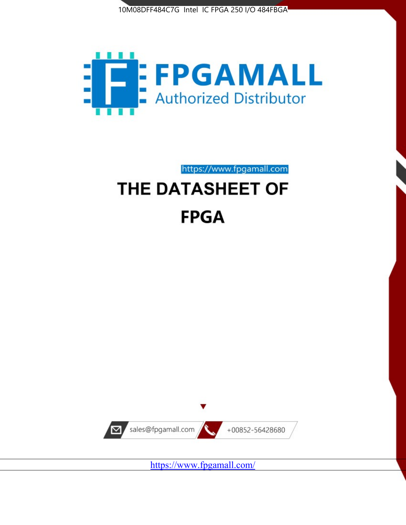



https://www.fpgamall.com THE DATASHEET OF

# **FPGA**



<https://www.fpgamall.com/>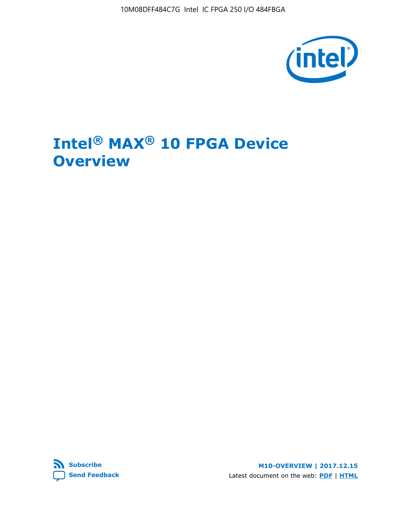10M08DFF484C7G Intel IC FPGA 250 I/O 484FBGA



# **Intel® MAX® 10 FPGA Device Overview**



**M10-OVERVIEW | 2017.12.15** Latest document on the web: **[PDF](https://www.altera.com/en_US/pdfs/literature/hb/max-10/m10_overview.pdf)** | **[HTML](https://www.altera.com/documentation/myt1396938463674.html)**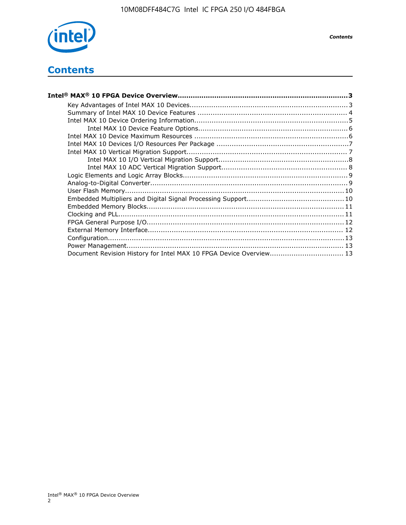

# **Contents**

| Intel® MAX® 10 FPGA Device Overview……………………………………………………………………………3  |  |
|--------------------------------------------------------------------|--|
|                                                                    |  |
|                                                                    |  |
|                                                                    |  |
|                                                                    |  |
|                                                                    |  |
|                                                                    |  |
|                                                                    |  |
|                                                                    |  |
|                                                                    |  |
|                                                                    |  |
|                                                                    |  |
|                                                                    |  |
|                                                                    |  |
|                                                                    |  |
|                                                                    |  |
|                                                                    |  |
|                                                                    |  |
|                                                                    |  |
|                                                                    |  |
| Document Revision History for Intel MAX 10 FPGA Device Overview 13 |  |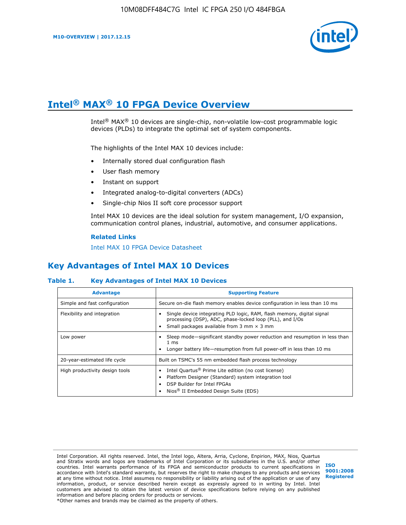

# **Intel® MAX® 10 FPGA Device Overview**

Intel<sup>®</sup> MAX<sup>®</sup> 10 devices are single-chip, non-volatile low-cost programmable logic devices (PLDs) to integrate the optimal set of system components.

The highlights of the Intel MAX 10 devices include:

- Internally stored dual configuration flash
- User flash memory
- Instant on support
- Integrated analog-to-digital converters (ADCs)
- Single-chip Nios II soft core processor support

Intel MAX 10 devices are the ideal solution for system management, I/O expansion, communication control planes, industrial, automotive, and consumer applications.

#### **Related Links**

[Intel MAX 10 FPGA Device Datasheet](https://www.altera.com/documentation/mcn1397700832153.html#mcn1397643748870)

## **Key Advantages of Intel MAX 10 Devices**

## **Table 1. Key Advantages of Intel MAX 10 Devices**

| <b>Advantage</b>               | <b>Supporting Feature</b>                                                                                                                                                                                  |  |  |  |
|--------------------------------|------------------------------------------------------------------------------------------------------------------------------------------------------------------------------------------------------------|--|--|--|
| Simple and fast configuration  | Secure on-die flash memory enables device configuration in less than 10 ms                                                                                                                                 |  |  |  |
| Flexibility and integration    | Single device integrating PLD logic, RAM, flash memory, digital signal<br>processing (DSP), ADC, phase-locked loop (PLL), and I/Os<br>Small packages available from 3 mm $\times$ 3 mm                     |  |  |  |
| Low power                      | Sleep mode—significant standby power reduction and resumption in less than<br>$1 \text{ ms}$<br>Longer battery life-resumption from full power-off in less than 10 ms                                      |  |  |  |
| 20-year-estimated life cycle   | Built on TSMC's 55 nm embedded flash process technology                                                                                                                                                    |  |  |  |
| High productivity design tools | Intel Quartus <sup>®</sup> Prime Lite edition (no cost license)<br>Platform Designer (Standard) system integration tool<br>DSP Builder for Intel FPGAs<br>Nios <sup>®</sup> II Embedded Design Suite (EDS) |  |  |  |

Intel Corporation. All rights reserved. Intel, the Intel logo, Altera, Arria, Cyclone, Enpirion, MAX, Nios, Quartus and Stratix words and logos are trademarks of Intel Corporation or its subsidiaries in the U.S. and/or other countries. Intel warrants performance of its FPGA and semiconductor products to current specifications in accordance with Intel's standard warranty, but reserves the right to make changes to any products and services at any time without notice. Intel assumes no responsibility or liability arising out of the application or use of any information, product, or service described herein except as expressly agreed to in writing by Intel. Intel customers are advised to obtain the latest version of device specifications before relying on any published information and before placing orders for products or services. \*Other names and brands may be claimed as the property of others.

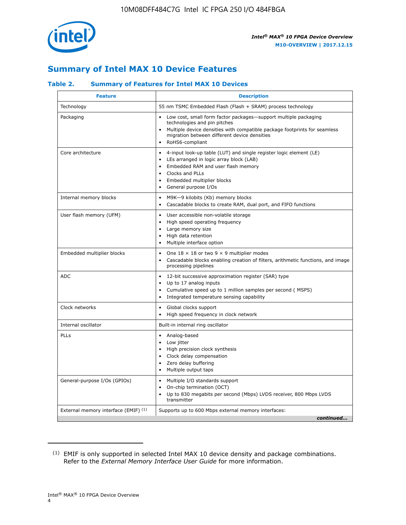

# **Summary of Intel MAX 10 Device Features**

## **Table 2. Summary of Features for Intel MAX 10 Devices**

| <b>Feature</b>                       | <b>Description</b>                                                                                                                                                                                                                                                               |
|--------------------------------------|----------------------------------------------------------------------------------------------------------------------------------------------------------------------------------------------------------------------------------------------------------------------------------|
| Technology                           | 55 nm TSMC Embedded Flash (Flash + SRAM) process technology                                                                                                                                                                                                                      |
| Packaging                            | Low cost, small form factor packages-support multiple packaging<br>technologies and pin pitches<br>Multiple device densities with compatible package footprints for seamless<br>migration between different device densities<br>RoHS6-compliant                                  |
| Core architecture                    | 4-input look-up table (LUT) and single register logic element (LE)<br>LEs arranged in logic array block (LAB)<br>$\bullet$<br>Embedded RAM and user flash memory<br>Clocks and PLLs<br>$\bullet$<br>Embedded multiplier blocks<br>$\bullet$<br>General purpose I/Os<br>$\bullet$ |
| Internal memory blocks               | M9K-9 kilobits (Kb) memory blocks<br>$\bullet$<br>Cascadable blocks to create RAM, dual port, and FIFO functions<br>$\bullet$                                                                                                                                                    |
| User flash memory (UFM)              | User accessible non-volatile storage<br>$\bullet$<br>High speed operating frequency<br>$\bullet$<br>Large memory size<br>High data retention<br>$\bullet$<br>Multiple interface option<br>$\bullet$                                                                              |
| Embedded multiplier blocks           | One $18 \times 18$ or two 9 $\times$ 9 multiplier modes<br>$\bullet$<br>Cascadable blocks enabling creation of filters, arithmetic functions, and image<br>processing pipelines                                                                                                  |
| <b>ADC</b>                           | 12-bit successive approximation register (SAR) type<br>$\bullet$<br>Up to 17 analog inputs<br>$\bullet$<br>Cumulative speed up to 1 million samples per second (MSPS)<br>Integrated temperature sensing capability                                                               |
| Clock networks                       | Global clocks support<br>$\bullet$<br>High speed frequency in clock network                                                                                                                                                                                                      |
| Internal oscillator                  | Built-in internal ring oscillator                                                                                                                                                                                                                                                |
| PLLs                                 | Analog-based<br>Low jitter<br>$\bullet$<br>High precision clock synthesis<br>Clock delay compensation<br>$\bullet$<br>Zero delay buffering<br>$\bullet$<br>Multiple output taps<br>٠                                                                                             |
| General-purpose I/Os (GPIOs)         | Multiple I/O standards support<br>$\bullet$<br>On-chip termination (OCT)<br>$\bullet$<br>Up to 830 megabits per second (Mbps) LVDS receiver, 800 Mbps LVDS<br>transmitter                                                                                                        |
| External memory interface (EMIF) (1) | Supports up to 600 Mbps external memory interfaces:<br>continued                                                                                                                                                                                                                 |

<sup>(1)</sup> EMIF is only supported in selected Intel MAX 10 device density and package combinations. Refer to the *External Memory Interface User Guide* for more information.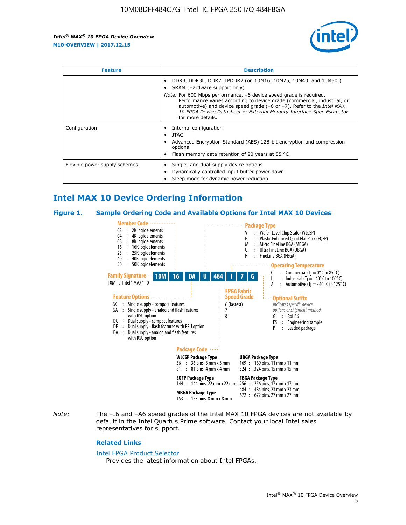

| <b>Feature</b>                | <b>Description</b>                                                                                                                                                                                                                                                                                                                                                                                                          |  |  |  |
|-------------------------------|-----------------------------------------------------------------------------------------------------------------------------------------------------------------------------------------------------------------------------------------------------------------------------------------------------------------------------------------------------------------------------------------------------------------------------|--|--|--|
|                               | DDR3, DDR3L, DDR2, LPDDR2 (on 10M16, 10M25, 10M40, and 10M50.)<br>SRAM (Hardware support only)<br><i>Note:</i> For 600 Mbps performance, -6 device speed grade is required.<br>Performance varies according to device grade (commercial, industrial, or<br>automotive) and device speed grade $(-6 \text{ or } -7)$ . Refer to the <i>Intel MAX</i><br>10 FPGA Device Datasheet or External Memory Interface Spec Estimator |  |  |  |
|                               | for more details.                                                                                                                                                                                                                                                                                                                                                                                                           |  |  |  |
| Configuration                 | Internal configuration<br>JTAG<br>٠<br>Advanced Encryption Standard (AES) 128-bit encryption and compression<br>options<br>Flash memory data retention of 20 years at 85 °C                                                                                                                                                                                                                                                 |  |  |  |
| Flexible power supply schemes | Single- and dual-supply device options<br>Dynamically controlled input buffer power down<br>Sleep mode for dynamic power reduction                                                                                                                                                                                                                                                                                          |  |  |  |

# **Intel MAX 10 Device Ordering Information**

#### **Figure 1. Sample Ordering Code and Available Options for Intel MAX 10 Devices**



*Note:* The –I6 and –A6 speed grades of the Intel MAX 10 FPGA devices are not available by default in the Intel Quartus Prime software. Contact your local Intel sales representatives for support.

#### **Related Links**

#### [Intel FPGA Product Selector](http://www.altera.com/products/selector/psg-selector.html)

Provides the latest information about Intel FPGAs.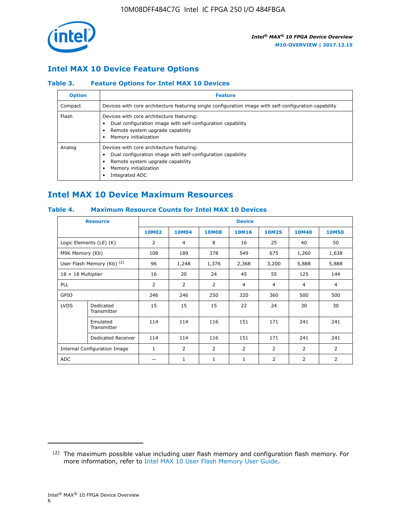

## **Intel MAX 10 Device Feature Options**

## **Table 3. Feature Options for Intel MAX 10 Devices**

| <b>Option</b> | <b>Feature</b>                                                                                                                                                                          |
|---------------|-----------------------------------------------------------------------------------------------------------------------------------------------------------------------------------------|
| Compact       | Devices with core architecture featuring single configuration image with self-configuration capability                                                                                  |
| Flash         | Devices with core architecture featuring:<br>Dual configuration image with self-configuration capability<br>Remote system upgrade capability<br>Memory initialization                   |
| Analog        | Devices with core architecture featuring:<br>Dual configuration image with self-configuration capability<br>Remote system upgrade capability<br>Memory initialization<br>Integrated ADC |

# **Intel MAX 10 Device Maximum Resources**

## **Table 4. Maximum Resource Counts for Intel MAX 10 Devices**

|                           | <b>Resource</b>              | <b>Device</b>  |              |              |                |                |              |                |
|---------------------------|------------------------------|----------------|--------------|--------------|----------------|----------------|--------------|----------------|
|                           |                              | <b>10M02</b>   | <b>10M04</b> | <b>10M08</b> | <b>10M16</b>   | <b>10M25</b>   | <b>10M40</b> | <b>10M50</b>   |
|                           | Logic Elements (LE) (K)      | $\overline{2}$ | 4            | 8            | 16             | 25             | 40           | 50             |
| M9K Memory (Kb)           |                              | 108            | 189          | 378          | 549            | 675            | 1,260        | 1,638          |
|                           | User Flash Memory (Kb) (2)   | 96             | 1,248        | 1,376        | 2,368          | 3,200          | 5,888        | 5,888          |
| $18 \times 18$ Multiplier |                              | 16             | 20           | 24           | 45             | 55             | 125          | 144            |
| <b>PLL</b>                |                              | 2              | 2            | 2            | $\overline{4}$ | $\overline{4}$ | 4            | $\overline{4}$ |
| GPIO                      |                              | 246            | 246          | 250          | 320            | 360            | 500          | 500            |
| <b>LVDS</b>               | Dedicated<br>Transmitter     | 15             | 15           | 15           | 22             | 24             | 30           | 30             |
|                           | Emulated<br>Transmitter      | 114            | 114          | 116          | 151            | 171            | 241          | 241            |
|                           | Dedicated Receiver           | 114            | 114          | 116          | 151            | 171            | 241          | 241            |
|                           | Internal Configuration Image | $\mathbf{1}$   | 2            | 2            | $\overline{2}$ | 2              | 2            | $\overline{2}$ |
| <b>ADC</b>                |                              |                | 1            | 1            | $\mathbf{1}$   | 2              | 2            | 2              |

<sup>(2)</sup> The maximum possible value including user flash memory and configuration flash memory. For more information, refer to [Intel MAX 10 User Flash Memory User Guide](https://www.altera.com/documentation/vgo1395753117436.html#vgo1395811844282).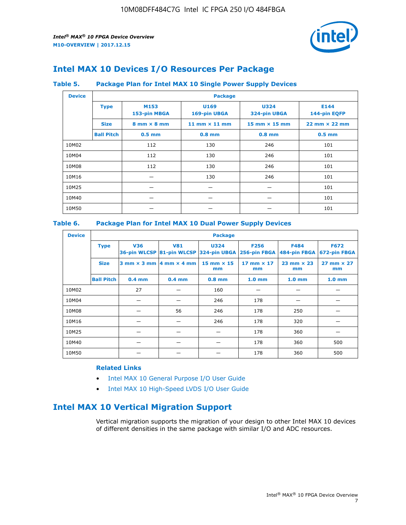

# **Intel MAX 10 Devices I/O Resources Per Package**

## **Table 5. Package Plan for Intel MAX 10 Single Power Supply Devices**

| <b>Device</b> |                   | <b>Package</b>                     |                      |                                      |                                      |  |  |  |
|---------------|-------------------|------------------------------------|----------------------|--------------------------------------|--------------------------------------|--|--|--|
|               | <b>Type</b>       | M153<br>153-pin MBGA               | U169<br>169-pin UBGA | <b>U324</b><br>324-pin UBGA          | E144<br>144-pin EQFP                 |  |  |  |
|               | <b>Size</b>       | $8 \text{ mm} \times 8 \text{ mm}$ | 11 mm $\times$ 11 mm | $15 \text{ mm} \times 15 \text{ mm}$ | $22 \text{ mm} \times 22 \text{ mm}$ |  |  |  |
|               | <b>Ball Pitch</b> | $0.5$ mm                           | $0.8$ mm             | $0.8$ mm                             | $0.5$ mm                             |  |  |  |
| 10M02         |                   | 112                                | 130                  | 246                                  | 101                                  |  |  |  |
| 10M04         |                   | 112                                | 130                  | 246                                  | 101                                  |  |  |  |
| 10M08         |                   | 112                                | 130                  | 246                                  | 101                                  |  |  |  |
| 10M16         |                   |                                    | 130                  | 246                                  | 101                                  |  |  |  |
| 10M25         |                   |                                    |                      |                                      | 101                                  |  |  |  |
| 10M40         |                   |                                    |                      |                                      | 101                                  |  |  |  |
| 10M50         |                   |                                    |                      |                                      | 101                                  |  |  |  |

## **Table 6. Package Plan for Intel MAX 10 Dual Power Supply Devices**

| <b>Device</b> |                   | <b>Package</b> |                                                |                                                                    |                         |                             |                             |  |
|---------------|-------------------|----------------|------------------------------------------------|--------------------------------------------------------------------|-------------------------|-----------------------------|-----------------------------|--|
|               | <b>Type</b>       | <b>V36</b>     | <b>V81</b>                                     | <b>U324</b><br>36-pin WLCSP 81-pin WLCSP 324-pin UBGA 256-pin FBGA | <b>F256</b>             | <b>F484</b><br>484-pin FBGA | <b>F672</b><br>672-pin FBGA |  |
|               | <b>Size</b>       |                | $3$ mm $\times$ 3 mm $ 4$ mm $\times$ 4 mm $ $ | 15 mm $\times$ 15<br>mm                                            | 17 mm $\times$ 17<br>mm | $23$ mm $\times$ 23<br>mm   | $27$ mm $\times$ 27<br>mm   |  |
|               | <b>Ball Pitch</b> | $0.4$ mm       | $0.4$ mm                                       | $0.8$ mm                                                           | 1.0 <sub>mm</sub>       | 1.0 <sub>mm</sub>           | 1.0 <sub>mm</sub>           |  |
| 10M02         |                   | 27             |                                                | 160                                                                |                         |                             |                             |  |
| 10M04         |                   |                |                                                | 246                                                                | 178                     |                             |                             |  |
| 10M08         |                   |                | 56                                             | 246                                                                | 178                     | 250                         |                             |  |
| 10M16         |                   |                |                                                | 246                                                                | 178                     | 320                         |                             |  |
| 10M25         |                   |                |                                                |                                                                    | 178                     | 360                         |                             |  |
| 10M40         |                   |                |                                                |                                                                    | 178                     | 360                         | 500                         |  |
| 10M50         |                   |                |                                                |                                                                    | 178                     | 360                         | 500                         |  |

## **Related Links**

- [Intel MAX 10 General Purpose I/O User Guide](https://www.altera.com/documentation/sam1393999966669.html#sam1394000084476)
- [Intel MAX 10 High-Speed LVDS I/O User Guide](https://www.altera.com/documentation/sam1394433606063.html#sam1394433911642)

# **Intel MAX 10 Vertical Migration Support**

Vertical migration supports the migration of your design to other Intel MAX 10 devices of different densities in the same package with similar I/O and ADC resources.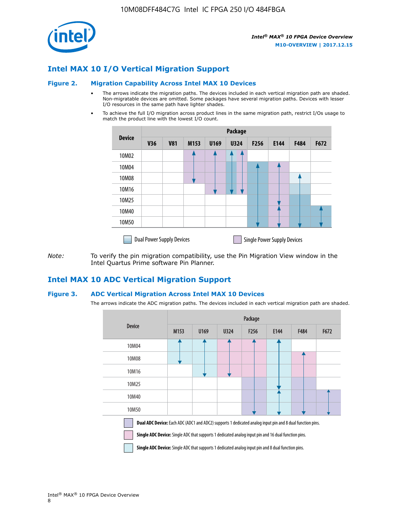

## **Intel MAX 10 I/O Vertical Migration Support**

#### **Figure 2. Migration Capability Across Intel MAX 10 Devices**

- The arrows indicate the migration paths. The devices included in each vertical migration path are shaded. Non-migratable devices are omitted. Some packages have several migration paths. Devices with lesser I/O resources in the same path have lighter shades.
- To achieve the full I/O migration across product lines in the same migration path, restrict I/Os usage to match the product line with the lowest I/O count.

|               | <b>Package</b>                   |            |      |      |             |                  |                                    |      |      |
|---------------|----------------------------------|------------|------|------|-------------|------------------|------------------------------------|------|------|
| <b>Device</b> | <b>V36</b>                       | <b>V81</b> | M153 | U169 | <b>U324</b> | F <sub>256</sub> | E144                               | F484 | F672 |
| 10M02         |                                  |            |      |      | 7           |                  |                                    |      |      |
| 10M04         |                                  |            |      |      |             |                  |                                    |      |      |
| 10M08         |                                  |            |      |      |             |                  |                                    |      |      |
| 10M16         |                                  |            |      |      |             |                  |                                    |      |      |
| 10M25         |                                  |            |      |      |             |                  |                                    |      |      |
| 10M40         |                                  |            |      |      |             |                  |                                    |      |      |
| 10M50         |                                  |            |      |      |             |                  |                                    |      |      |
|               | <b>Dual Power Supply Devices</b> |            |      |      |             |                  | <b>Single Power Supply Devices</b> |      |      |

*Note:* To verify the pin migration compatibility, use the Pin Migration View window in the Intel Quartus Prime software Pin Planner.

## **Intel MAX 10 ADC Vertical Migration Support**

### **Figure 3. ADC Vertical Migration Across Intel MAX 10 Devices**

The arrows indicate the ADC migration paths. The devices included in each vertical migration path are shaded.

|                                                                                                                                                                                                                         | Package |      |      |                  |      |      |      |  |  |
|-------------------------------------------------------------------------------------------------------------------------------------------------------------------------------------------------------------------------|---------|------|------|------------------|------|------|------|--|--|
| <b>Device</b>                                                                                                                                                                                                           | M153    | U169 | U324 | F <sub>256</sub> | E144 | F484 | F672 |  |  |
| 10M04                                                                                                                                                                                                                   |         |      |      |                  |      |      |      |  |  |
| 10M08                                                                                                                                                                                                                   |         |      |      |                  |      |      |      |  |  |
| 10M16                                                                                                                                                                                                                   |         |      |      |                  |      |      |      |  |  |
| 10M25                                                                                                                                                                                                                   |         |      |      |                  |      |      |      |  |  |
| 10M40                                                                                                                                                                                                                   |         |      |      |                  |      |      |      |  |  |
| 10M50                                                                                                                                                                                                                   |         |      |      |                  |      |      |      |  |  |
| Dual ADC Device: Each ADC (ADC1 and ADC2) supports 1 dedicated analog input pin and 8 dual function pins.<br><b>Single ADC Device:</b> Single ADC that supports 1 dedicated analog input pin and 16 dual function pins. |         |      |      |                  |      |      |      |  |  |

**Single ADC Device:** Single ADC that supports 1 dedicated analog input pin and 8 dual function pins.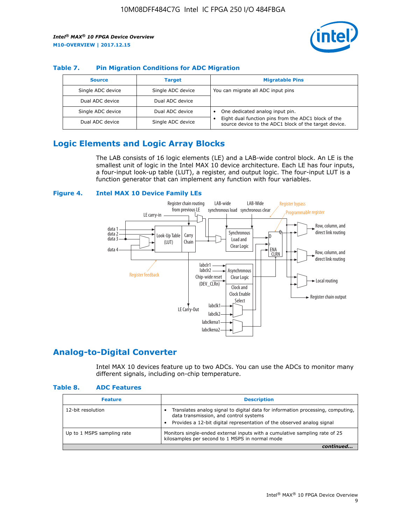

## **Table 7. Pin Migration Conditions for ADC Migration**

| <b>Source</b>     | <b>Target</b>     | <b>Migratable Pins</b>                                                                                            |
|-------------------|-------------------|-------------------------------------------------------------------------------------------------------------------|
| Single ADC device | Single ADC device | You can migrate all ADC input pins                                                                                |
| Dual ADC device   | Dual ADC device   |                                                                                                                   |
| Single ADC device | Dual ADC device   | One dedicated analog input pin.                                                                                   |
| Dual ADC device   | Single ADC device | Eight dual function pins from the ADC1 block of the<br>٠<br>source device to the ADC1 block of the target device. |

# **Logic Elements and Logic Array Blocks**

The LAB consists of 16 logic elements (LE) and a LAB-wide control block. An LE is the smallest unit of logic in the Intel MAX 10 device architecture. Each LE has four inputs, a four-input look-up table (LUT), a register, and output logic. The four-input LUT is a function generator that can implement any function with four variables.

### **Figure 4. Intel MAX 10 Device Family LEs**



## **Analog-to-Digital Converter**

Intel MAX 10 devices feature up to two ADCs. You can use the ADCs to monitor many different signals, including on-chip temperature.

#### **Table 8. ADC Features**

| <b>Feature</b>             | <b>Description</b>                                                                                                                                                                                  |
|----------------------------|-----------------------------------------------------------------------------------------------------------------------------------------------------------------------------------------------------|
| 12-bit resolution          | Translates analog signal to digital data for information processing, computing,<br>data transmission, and control systems<br>Provides a 12-bit digital representation of the observed analog signal |
| Up to 1 MSPS sampling rate | Monitors single-ended external inputs with a cumulative sampling rate of 25<br>kilosamples per second to 1 MSPS in normal mode                                                                      |
|                            |                                                                                                                                                                                                     |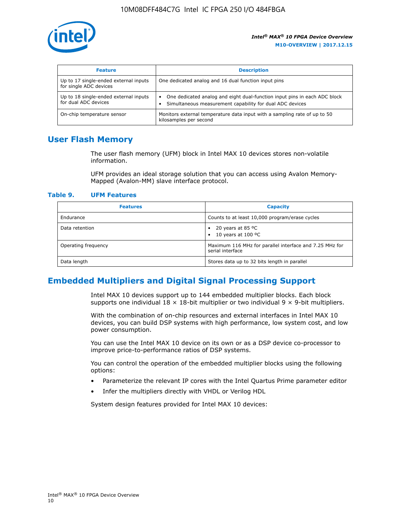

| <b>Feature</b>                                                  | <b>Description</b>                                                                                                                         |
|-----------------------------------------------------------------|--------------------------------------------------------------------------------------------------------------------------------------------|
| Up to 17 single-ended external inputs<br>for single ADC devices | One dedicated analog and 16 dual function input pins                                                                                       |
| Up to 18 single-ended external inputs<br>for dual ADC devices   | One dedicated analog and eight dual-function input pins in each ADC block<br>٠<br>Simultaneous measurement capability for dual ADC devices |
| On-chip temperature sensor                                      | Monitors external temperature data input with a sampling rate of up to 50<br>kilosamples per second                                        |

## **User Flash Memory**

The user flash memory (UFM) block in Intel MAX 10 devices stores non-volatile information.

UFM provides an ideal storage solution that you can access using Avalon Memory-Mapped (Avalon-MM) slave interface protocol.

#### **Table 9. UFM Features**

| <b>Features</b>     | <b>Capacity</b>                                                             |
|---------------------|-----------------------------------------------------------------------------|
| Endurance           | Counts to at least 10,000 program/erase cycles                              |
| Data retention      | 20 years at 85 °C<br>٠<br>10 years at 100 °C<br>$\bullet$                   |
| Operating frequency | Maximum 116 MHz for parallel interface and 7.25 MHz for<br>serial interface |
| Data length         | Stores data up to 32 bits length in parallel                                |

## **Embedded Multipliers and Digital Signal Processing Support**

Intel MAX 10 devices support up to 144 embedded multiplier blocks. Each block supports one individual  $18 \times 18$ -bit multiplier or two individual  $9 \times 9$ -bit multipliers.

With the combination of on-chip resources and external interfaces in Intel MAX 10 devices, you can build DSP systems with high performance, low system cost, and low power consumption.

You can use the Intel MAX 10 device on its own or as a DSP device co-processor to improve price-to-performance ratios of DSP systems.

You can control the operation of the embedded multiplier blocks using the following options:

- Parameterize the relevant IP cores with the Intel Quartus Prime parameter editor
- Infer the multipliers directly with VHDL or Verilog HDL

System design features provided for Intel MAX 10 devices: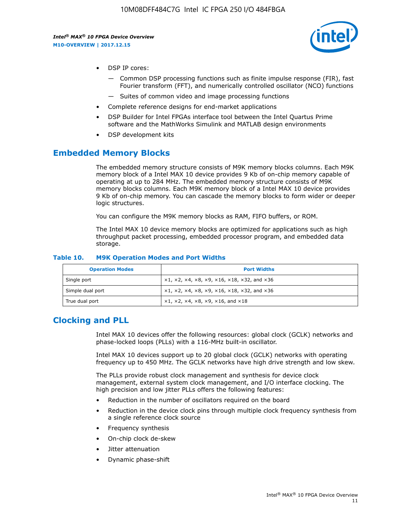

- DSP IP cores:
	- Common DSP processing functions such as finite impulse response (FIR), fast Fourier transform (FFT), and numerically controlled oscillator (NCO) functions
	- Suites of common video and image processing functions
- Complete reference designs for end-market applications
- DSP Builder for Intel FPGAs interface tool between the Intel Quartus Prime software and the MathWorks Simulink and MATLAB design environments
- DSP development kits

## **Embedded Memory Blocks**

The embedded memory structure consists of M9K memory blocks columns. Each M9K memory block of a Intel MAX 10 device provides 9 Kb of on-chip memory capable of operating at up to 284 MHz. The embedded memory structure consists of M9K memory blocks columns. Each M9K memory block of a Intel MAX 10 device provides 9 Kb of on-chip memory. You can cascade the memory blocks to form wider or deeper logic structures.

You can configure the M9K memory blocks as RAM, FIFO buffers, or ROM.

The Intel MAX 10 device memory blocks are optimized for applications such as high throughput packet processing, embedded processor program, and embedded data storage.

| <b>Operation Modes</b> | <b>Port Widths</b>                                                            |
|------------------------|-------------------------------------------------------------------------------|
| Single port            | $x1, x2, x4, x8, x9, x16, x18, x32, and x36$                                  |
| Simple dual port       | $x1, x2, x4, x8, x9, x16, x18, x32, and x36$                                  |
| True dual port         | $\times1, \times2, \times4, \times8, \times9, \times16, \text{and } \times18$ |

#### **Table 10. M9K Operation Modes and Port Widths**

# **Clocking and PLL**

Intel MAX 10 devices offer the following resources: global clock (GCLK) networks and phase-locked loops (PLLs) with a 116-MHz built-in oscillator.

Intel MAX 10 devices support up to 20 global clock (GCLK) networks with operating frequency up to 450 MHz. The GCLK networks have high drive strength and low skew.

The PLLs provide robust clock management and synthesis for device clock management, external system clock management, and I/O interface clocking. The high precision and low jitter PLLs offers the following features:

- Reduction in the number of oscillators required on the board
- Reduction in the device clock pins through multiple clock frequency synthesis from a single reference clock source
- Frequency synthesis
- On-chip clock de-skew
- Jitter attenuation
- Dynamic phase-shift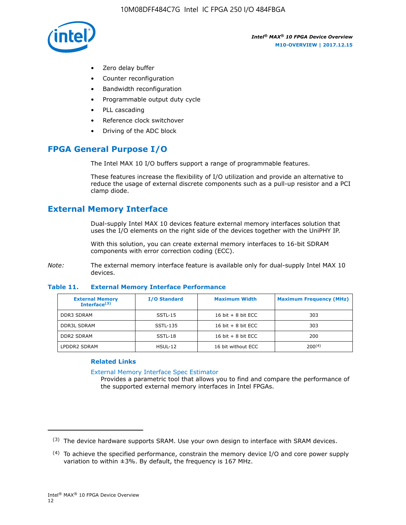

- Zero delay buffer
- Counter reconfiguration
- Bandwidth reconfiguration
- Programmable output duty cycle
- PLL cascading
- Reference clock switchover
- Driving of the ADC block

# **FPGA General Purpose I/O**

The Intel MAX 10 I/O buffers support a range of programmable features.

These features increase the flexibility of I/O utilization and provide an alternative to reduce the usage of external discrete components such as a pull-up resistor and a PCI clamp diode.

# **External Memory Interface**

Dual-supply Intel MAX 10 devices feature external memory interfaces solution that uses the I/O elements on the right side of the devices together with the UniPHY IP.

With this solution, you can create external memory interfaces to 16-bit SDRAM components with error correction coding (ECC).

*Note:* The external memory interface feature is available only for dual-supply Intel MAX 10 devices.

### **Table 11. External Memory Interface Performance**

| <b>External Memory</b><br>Interface <sup>(3)</sup> | <b>I/O Standard</b> | <b>Maximum Width</b> | <b>Maximum Frequency (MHz)</b> |
|----------------------------------------------------|---------------------|----------------------|--------------------------------|
| <b>DDR3 SDRAM</b>                                  | SSTL-15             | 16 bit $+8$ bit ECC  | 303                            |
| <b>DDR3L SDRAM</b>                                 | SSTL-135            | 16 bit $+8$ bit ECC  | 303                            |
| <b>DDR2 SDRAM</b>                                  | SSTL-18             | 16 bit $+8$ bit ECC  | 200                            |
| LPDDR2 SDRAM                                       | $H SUL-12$          | 16 bit without ECC   | 200(4)                         |

## **Related Links**

[External Memory Interface Spec Estimator](http://www.altera.com/technology/memory/estimator/mem-emif-index.html)

Provides a parametric tool that allows you to find and compare the performance of the supported external memory interfaces in Intel FPGAs.

 $(3)$  The device hardware supports SRAM. Use your own design to interface with SRAM devices.

 $(4)$  To achieve the specified performance, constrain the memory device I/O and core power supply variation to within ±3%. By default, the frequency is 167 MHz.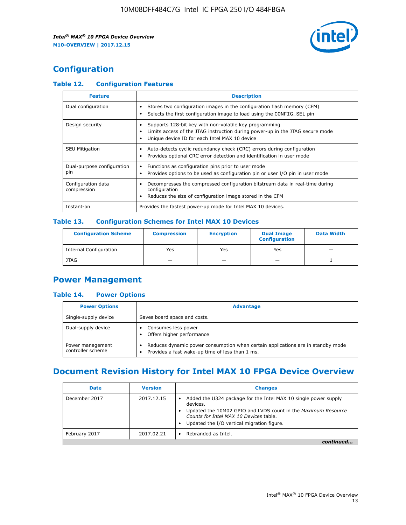

# **Configuration**

## **Table 12. Configuration Features**

| <b>Feature</b>                    | <b>Description</b>                                                                                                                                                                       |
|-----------------------------------|------------------------------------------------------------------------------------------------------------------------------------------------------------------------------------------|
| Dual configuration                | Stores two configuration images in the configuration flash memory (CFM)<br>Selects the first configuration image to load using the CONFIG SEL pin                                        |
| Design security                   | Supports 128-bit key with non-volatile key programming<br>Limits access of the JTAG instruction during power-up in the JTAG secure mode<br>Unique device ID for each Intel MAX 10 device |
| <b>SEU Mitigation</b>             | Auto-detects cyclic redundancy check (CRC) errors during configuration<br>Provides optional CRC error detection and identification in user mode                                          |
| Dual-purpose configuration<br>pin | Functions as configuration pins prior to user mode<br>$\bullet$<br>Provides options to be used as configuration pin or user I/O pin in user mode                                         |
| Configuration data<br>compression | Decompresses the compressed configuration bitstream data in real-time during<br>configuration<br>Reduces the size of configuration image stored in the CFM                               |
| Instant-on                        | Provides the fastest power-up mode for Intel MAX 10 devices.                                                                                                                             |

#### **Table 13. Configuration Schemes for Intel MAX 10 Devices**

| <b>Configuration Scheme</b>   | <b>Compression</b>       | <b>Encryption</b> | <b>Dual Image</b><br><b>Configuration</b> | <b>Data Width</b> |
|-------------------------------|--------------------------|-------------------|-------------------------------------------|-------------------|
| <b>Internal Configuration</b> | Yes                      | Yes               | Yes                                       |                   |
| <b>JTAG</b>                   | $\overline{\phantom{a}}$ |                   | -                                         |                   |

## **Power Management**

## **Table 14. Power Options**

| <b>Power Options</b>                  | <b>Advantage</b>                                                                                                                   |  |
|---------------------------------------|------------------------------------------------------------------------------------------------------------------------------------|--|
| Single-supply device                  | Saves board space and costs.                                                                                                       |  |
| Dual-supply device                    | Consumes less power<br>Offers higher performance                                                                                   |  |
| Power management<br>controller scheme | Reduces dynamic power consumption when certain applications are in standby mode<br>Provides a fast wake-up time of less than 1 ms. |  |

# **Document Revision History for Intel MAX 10 FPGA Device Overview**

| <b>Date</b>   | <b>Version</b> | <b>Changes</b>                                                                                                                                                                                                                       |
|---------------|----------------|--------------------------------------------------------------------------------------------------------------------------------------------------------------------------------------------------------------------------------------|
| December 2017 | 2017.12.15     | Added the U324 package for the Intel MAX 10 single power supply<br>devices.<br>Updated the 10M02 GPIO and LVDS count in the Maximum Resource<br>Counts for Intel MAX 10 Devices table.<br>Updated the I/O vertical migration figure. |
| February 2017 | 2017.02.21     | Rebranded as Intel.                                                                                                                                                                                                                  |
|               |                |                                                                                                                                                                                                                                      |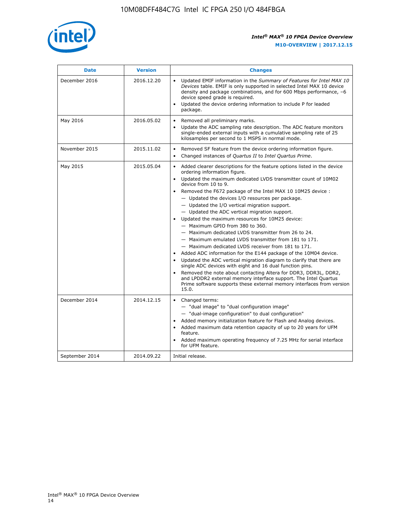

| <b>Date</b>    | <b>Version</b> | <b>Changes</b>                                                                                                                                                                                                                                                                                                                                                                                                                                                                                                                                                                                                                                                                                                                                                                                                                                                                                                                                                                                                                                                                                                                                           |  |
|----------------|----------------|----------------------------------------------------------------------------------------------------------------------------------------------------------------------------------------------------------------------------------------------------------------------------------------------------------------------------------------------------------------------------------------------------------------------------------------------------------------------------------------------------------------------------------------------------------------------------------------------------------------------------------------------------------------------------------------------------------------------------------------------------------------------------------------------------------------------------------------------------------------------------------------------------------------------------------------------------------------------------------------------------------------------------------------------------------------------------------------------------------------------------------------------------------|--|
| December 2016  | 2016.12.20     | • Updated EMIF information in the Summary of Features for Intel MAX 10<br>Devices table. EMIF is only supported in selected Intel MAX 10 device<br>density and package combinations, and for 600 Mbps performance, -6<br>device speed grade is required.<br>Updated the device ordering information to include P for leaded<br>package.                                                                                                                                                                                                                                                                                                                                                                                                                                                                                                                                                                                                                                                                                                                                                                                                                  |  |
| May 2016       | 2016.05.02     | Removed all preliminary marks.<br>Update the ADC sampling rate description. The ADC feature monitors<br>$\bullet$<br>single-ended external inputs with a cumulative sampling rate of 25<br>kilosamples per second to 1 MSPS in normal mode.                                                                                                                                                                                                                                                                                                                                                                                                                                                                                                                                                                                                                                                                                                                                                                                                                                                                                                              |  |
| November 2015  | 2015.11.02     | Removed SF feature from the device ordering information figure.<br>$\bullet$<br>Changed instances of Quartus II to Intel Quartus Prime.<br>$\bullet$                                                                                                                                                                                                                                                                                                                                                                                                                                                                                                                                                                                                                                                                                                                                                                                                                                                                                                                                                                                                     |  |
| May 2015       | 2015.05.04     | Added clearer descriptions for the feature options listed in the device<br>$\bullet$<br>ordering information figure.<br>Updated the maximum dedicated LVDS transmitter count of 10M02<br>$\bullet$<br>device from 10 to 9.<br>Removed the F672 package of the Intel MAX 10 10M25 device :<br>- Updated the devices I/O resources per package.<br>$-$ Updated the I/O vertical migration support.<br>- Updated the ADC vertical migration support.<br>Updated the maximum resources for 10M25 device:<br>- Maximum GPIO from 380 to 360.<br>- Maximum dedicated LVDS transmitter from 26 to 24.<br>- Maximum emulated LVDS transmitter from 181 to 171.<br>- Maximum dedicated LVDS receiver from 181 to 171.<br>Added ADC information for the E144 package of the 10M04 device.<br>$\bullet$<br>Updated the ADC vertical migration diagram to clarify that there are<br>single ADC devices with eight and 16 dual function pins.<br>Removed the note about contacting Altera for DDR3, DDR3L, DDR2,<br>and LPDDR2 external memory interface support. The Intel Quartus<br>Prime software supports these external memory interfaces from version<br>15.0. |  |
| December 2014  | 2014.12.15     | $\bullet$<br>Changed terms:<br>- "dual image" to "dual configuration image"<br>- "dual-image configuration" to dual configuration"<br>Added memory initialization feature for Flash and Analog devices.<br>$\bullet$<br>Added maximum data retention capacity of up to 20 years for UFM<br>$\bullet$<br>feature.<br>Added maximum operating frequency of 7.25 MHz for serial interface<br>for UFM feature.                                                                                                                                                                                                                                                                                                                                                                                                                                                                                                                                                                                                                                                                                                                                               |  |
| September 2014 | 2014.09.22     | Initial release.                                                                                                                                                                                                                                                                                                                                                                                                                                                                                                                                                                                                                                                                                                                                                                                                                                                                                                                                                                                                                                                                                                                                         |  |